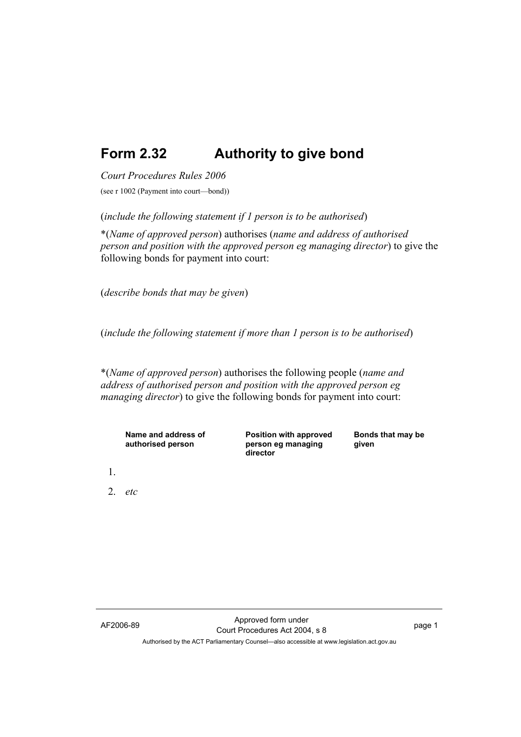## **Form 2.32 Authority to give bond**

*Court Procedures Rules 2006*

(see r 1002 (Payment into court—bond))

(*include the following statement if 1 person is to be authorised*)

\*(*Name of approved person*) authorises (*name and address of authorised person and position with the approved person eg managing director*) to give the following bonds for payment into court:

(*describe bonds that may be given*)

(*include the following statement if more than 1 person is to be authorised*)

\*(*Name of approved person*) authorises the following people (*name and address of authorised person and position with the approved person eg managing director*) to give the following bonds for payment into court:

| Name and address of<br>authorised person | <b>Position with approved</b><br>person eg managing<br>director | Bonds that may be<br>given |
|------------------------------------------|-----------------------------------------------------------------|----------------------------|
|                                          |                                                                 |                            |
| 2. $etc$                                 |                                                                 |                            |
|                                          |                                                                 |                            |